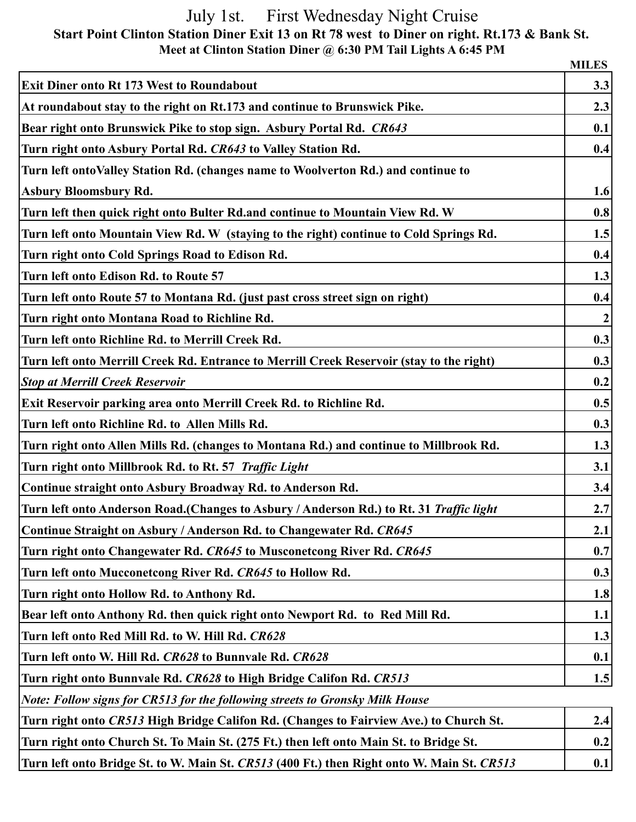## July 1st. First Wednesday Night Cruise  **Start Point Clinton Station Diner Exit 13 on Rt 78 west to Diner on right. Rt.173 & Bank St. Meet at Clinton Station Diner @ 6:30 PM Tail Lights A 6:45 PM**

|                                                                                                | <b>MILES</b>     |
|------------------------------------------------------------------------------------------------|------------------|
| <b>Exit Diner onto Rt 173 West to Roundabout</b>                                               | 3.3              |
| At roundabout stay to the right on Rt.173 and continue to Brunswick Pike.                      | 2.3              |
| Bear right onto Brunswick Pike to stop sign. Asbury Portal Rd. CR643                           | 0.1              |
| Turn right onto Asbury Portal Rd. CR643 to Valley Station Rd.                                  | 0.4              |
| Turn left ontoValley Station Rd. (changes name to Woolverton Rd.) and continue to              |                  |
| <b>Asbury Bloomsbury Rd.</b>                                                                   | 1.6              |
| Turn left then quick right onto Bulter Rd.and continue to Mountain View Rd. W                  | 0.8              |
| Turn left onto Mountain View Rd. W (staying to the right) continue to Cold Springs Rd.         | 1.5              |
| Turn right onto Cold Springs Road to Edison Rd.                                                | 0.4              |
| Turn left onto Edison Rd. to Route 57                                                          | 1.3              |
| Turn left onto Route 57 to Montana Rd. (just past cross street sign on right)                  | 0.4              |
| Turn right onto Montana Road to Richline Rd.                                                   | $\boldsymbol{2}$ |
| Turn left onto Richline Rd. to Merrill Creek Rd.                                               | 0.3              |
| Turn left onto Merrill Creek Rd. Entrance to Merrill Creek Reservoir (stay to the right)       | 0.3              |
| <b>Stop at Merrill Creek Reservoir</b>                                                         | 0.2              |
| Exit Reservoir parking area onto Merrill Creek Rd. to Richline Rd.                             | 0.5              |
| Turn left onto Richline Rd. to Allen Mills Rd.                                                 | 0.3              |
| Turn right onto Allen Mills Rd. (changes to Montana Rd.) and continue to Millbrook Rd.         | 1.3              |
| Turn right onto Millbrook Rd. to Rt. 57 Traffic Light                                          | 3.1              |
| Continue straight onto Asbury Broadway Rd. to Anderson Rd.                                     | 3.4              |
| Turn left onto Anderson Road.(Changes to Asbury / Anderson Rd.) to Rt. 31 Traffic light        | 2.7              |
| Continue Straight on Asbury / Anderson Rd. to Changewater Rd. CR645                            | 2.1              |
| Turn right onto Changewater Rd. CR645 to Musconetcong River Rd. CR645                          | 0.7              |
| Turn left onto Mucconetcong River Rd. CR645 to Hollow Rd.                                      | 0.3              |
| Turn right onto Hollow Rd. to Anthony Rd.                                                      | 1.8              |
| Bear left onto Anthony Rd. then quick right onto Newport Rd. to Red Mill Rd.                   | 1.1              |
| Turn left onto Red Mill Rd. to W. Hill Rd. CR628                                               | 1.3              |
| Turn left onto W. Hill Rd. CR628 to Bunnvale Rd. CR628                                         | 0.1              |
| Turn right onto Bunnvale Rd. CR628 to High Bridge Califon Rd. CR513                            | 1.5              |
| Note: Follow signs for CR513 for the following streets to Gronsky Milk House                   |                  |
| $A$ and $CDE12$ II'-b Duider $C_1$ if $C_2$ Dd. $C_3$ connected Feinging $A_{\text{max}}$ ) to |                  |

| Turn right onto CR513 High Bridge Califon Rd. (Changes to Fairview Ave.) to Church St.     | 2.4              |
|--------------------------------------------------------------------------------------------|------------------|
| Turn right onto Church St. To Main St. (275 Ft.) then left onto Main St. to Bridge St.     | 0.2 <sub>1</sub> |
| Turn left onto Bridge St. to W. Main St. CR513 (400 Ft.) then Right onto W. Main St. CR513 |                  |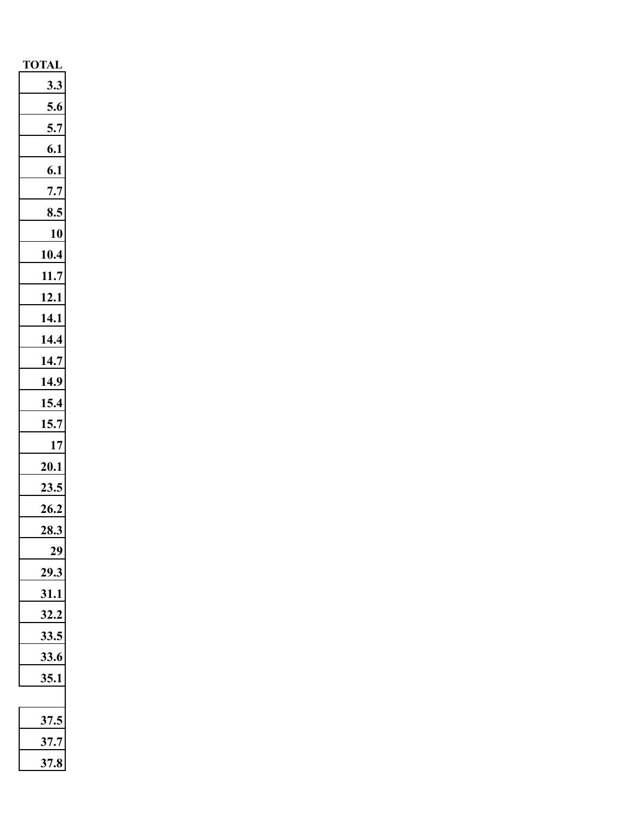| <b>TOTAL</b> |
|--------------|
| 3.3          |
| 5.6          |
| 5.7          |
| 6.1          |
| 6.1          |
| 7.7          |
| 8.5          |
| 10           |
| 10.4         |
| 11.7         |
| 12.1         |
| 14.1         |
| 14.4         |
| 14.7         |
| 14.9         |
| 15.4         |
| 15.7         |
| $17\,$       |
| 20.1         |
| 23.5         |
| 26.2         |
| 28.3         |
|              |
| 29           |
| 31           |
| 32.3         |
|              |
| 33.6         |
| 5.1          |
|              |
| 1            |
| 7.           |
| 37.          |